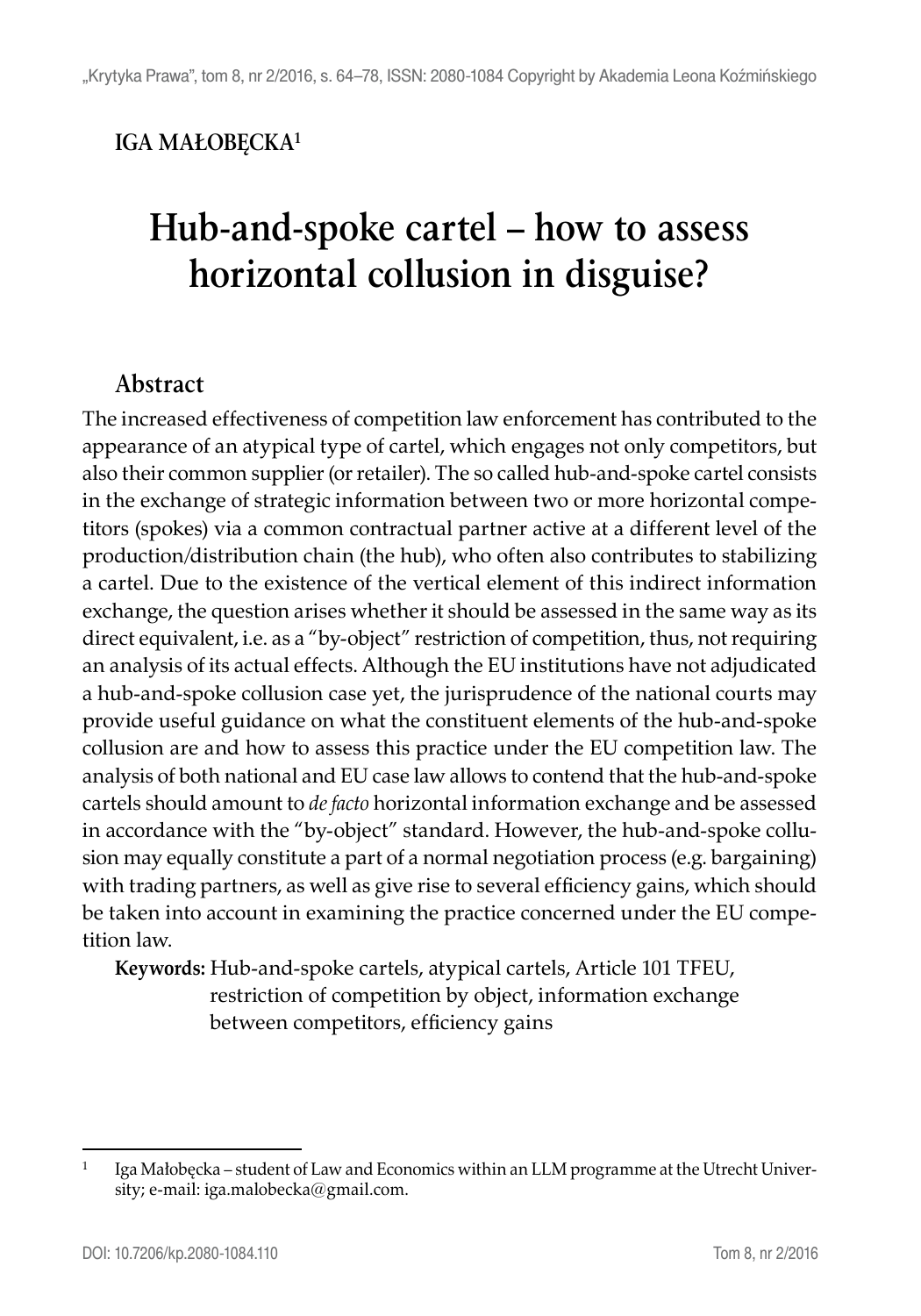#### **IGA MAŁOBĘCKA1**

# **Hub-and-spoke cartel – how to assess horizontal collusion in disguise?**

#### **Abstract**

The increased effectiveness of competition law enforcement has contributed to the appearance of an atypical type of cartel, which engages not only competitors, but also their common supplier (or retailer). The so called hub-and-spoke cartel consists in the exchange of strategic information between two or more horizontal competitors (spokes) via a common contractual partner active at a different level of the production/distribution chain (the hub), who often also contributes to stabilizing a cartel. Due to the existence of the vertical element of this indirect information exchange, the question arises whether it should be assessed in the same way as its direct equivalent, i.e. as a "by-object" restriction of competition, thus, not requiring an analysis of its actual effects. Although the EU institutions have not adjudicated a hub-and-spoke collusion case yet, the jurisprudence of the national courts may provide useful guidance on what the constituent elements of the hub-and-spoke collusion are and how to assess this practice under the EU competition law. The analysis of both national and EU case law allows to contend that the hub-and-spoke cartels should amount to *de facto* horizontal information exchange and be assessed in accordance with the "by-object" standard. However, the hub-and-spoke collusion may equally constitute a part of a normal negotiation process (e.g. bargaining) with trading partners, as well as give rise to several efficiency gains, which should be taken into account in examining the practice concerned under the EU competition law.

**Keywords:** Hub-and-spoke cartels, atypical cartels, Article 101 TFEU, restriction of competition by object, information exchange between competitors, efficiency gains

<sup>&</sup>lt;sup>1</sup> Iga Małobęcka – student of Law and Economics within an LLM programme at the Utrecht University; e-mail: iga.malobecka@gmail.com.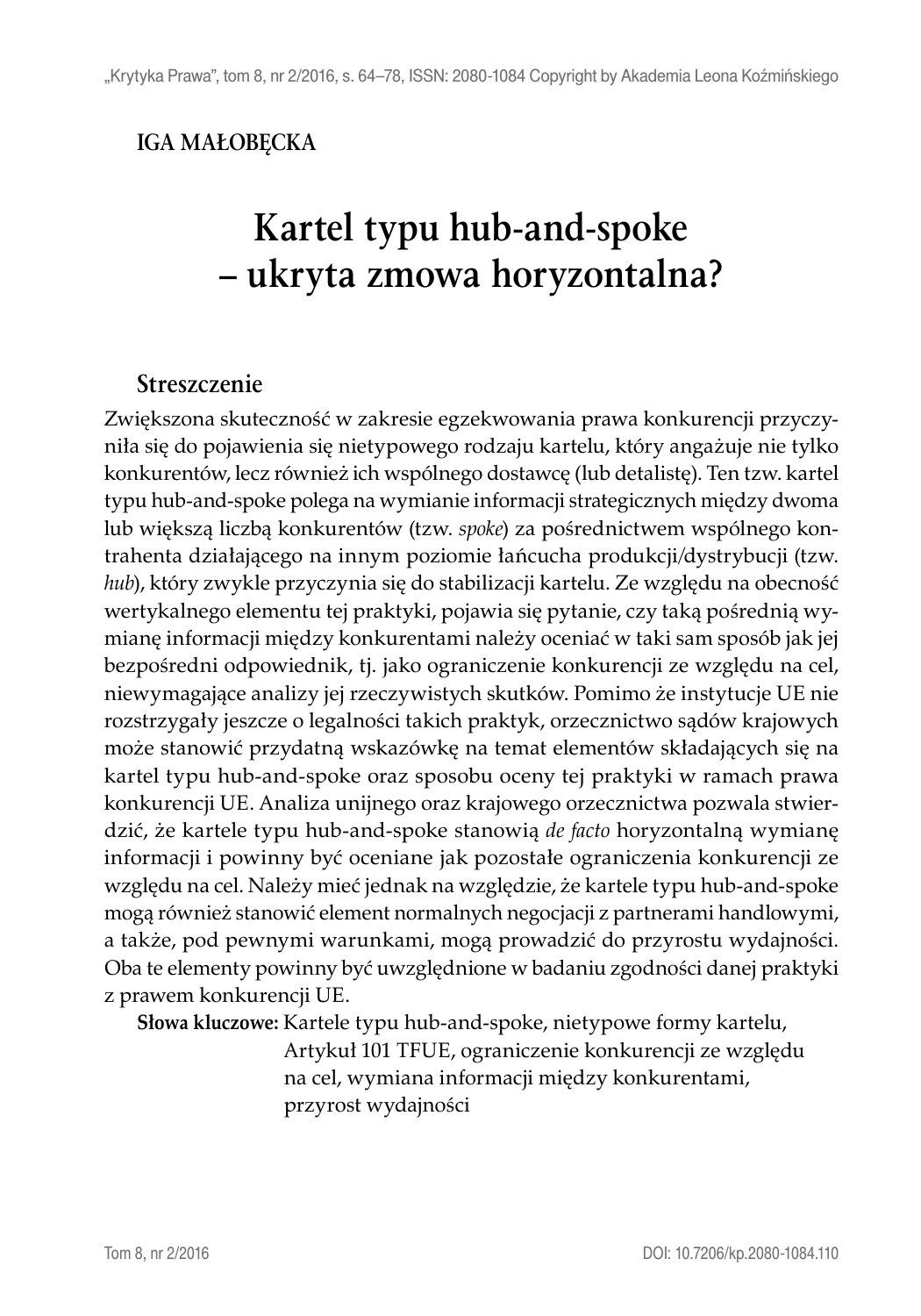#### **IGA MAŁOBĘCKA**

# **Kartel typu hub-and-spoke – ukryta zmowa horyzontalna?**

#### **Streszczenie**

Zwiększona skuteczność w zakresie egzekwowania prawa konkurencji przyczyniła się do pojawienia się nietypowego rodzaju kartelu, który angażuje nie tylko konkurentów, lecz również ich wspólnego dostawcę (lub detalistę). Ten tzw. kartel typu hub-and-spoke polega na wymianie informacji strategicznych między dwoma lub większą liczbą konkurentów (tzw. *spoke*) za pośrednictwem wspólnego kontrahenta działającego na innym poziomie łańcucha produkcji/dystrybucji (tzw. *hub*), który zwykle przyczynia się do stabilizacji kartelu. Ze względu na obecność wertykalnego elementu tej praktyki, pojawia się pytanie, czy taką pośrednią wymianę informacji między konkurentami należy oceniać w taki sam sposób jak jej bezpośredni odpowiednik, tj. jako ograniczenie konkurencji ze względu na cel, niewymagające analizy jej rzeczywistych skutków. Pomimo że instytucje UE nie rozstrzygały jeszcze o legalności takich praktyk, orzecznictwo sądów krajowych może stanowić przydatną wskazówkę na temat elementów składających się na kartel typu hub-and-spoke oraz sposobu oceny tej praktyki w ramach prawa konkurencji UE. Analiza unijnego oraz krajowego orzecznictwa pozwala stwierdzić, że kartele typu hub-and-spoke stanowią *de facto* horyzontalną wymianę informacji i powinny być oceniane jak pozostałe ograniczenia konkurencji ze względu na cel. Należy mieć jednak na względzie, że kartele typu hub-and-spoke mogą również stanowić element normalnych negocjacji z partnerami handlowymi, a także, pod pewnymi warunkami, mogą prowadzić do przyrostu wydajności. Oba te elementy powinny być uwzględnione w badaniu zgodności danej praktyki z prawem konkurencji UE.

**Słowa kluczowe:** Kartele typu hub-and-spoke, nietypowe formy kartelu,

Artykuł 101 TFUE, ograniczenie konkurencji ze względu na cel, wymiana informacji między konkurentami, przyrost wydajności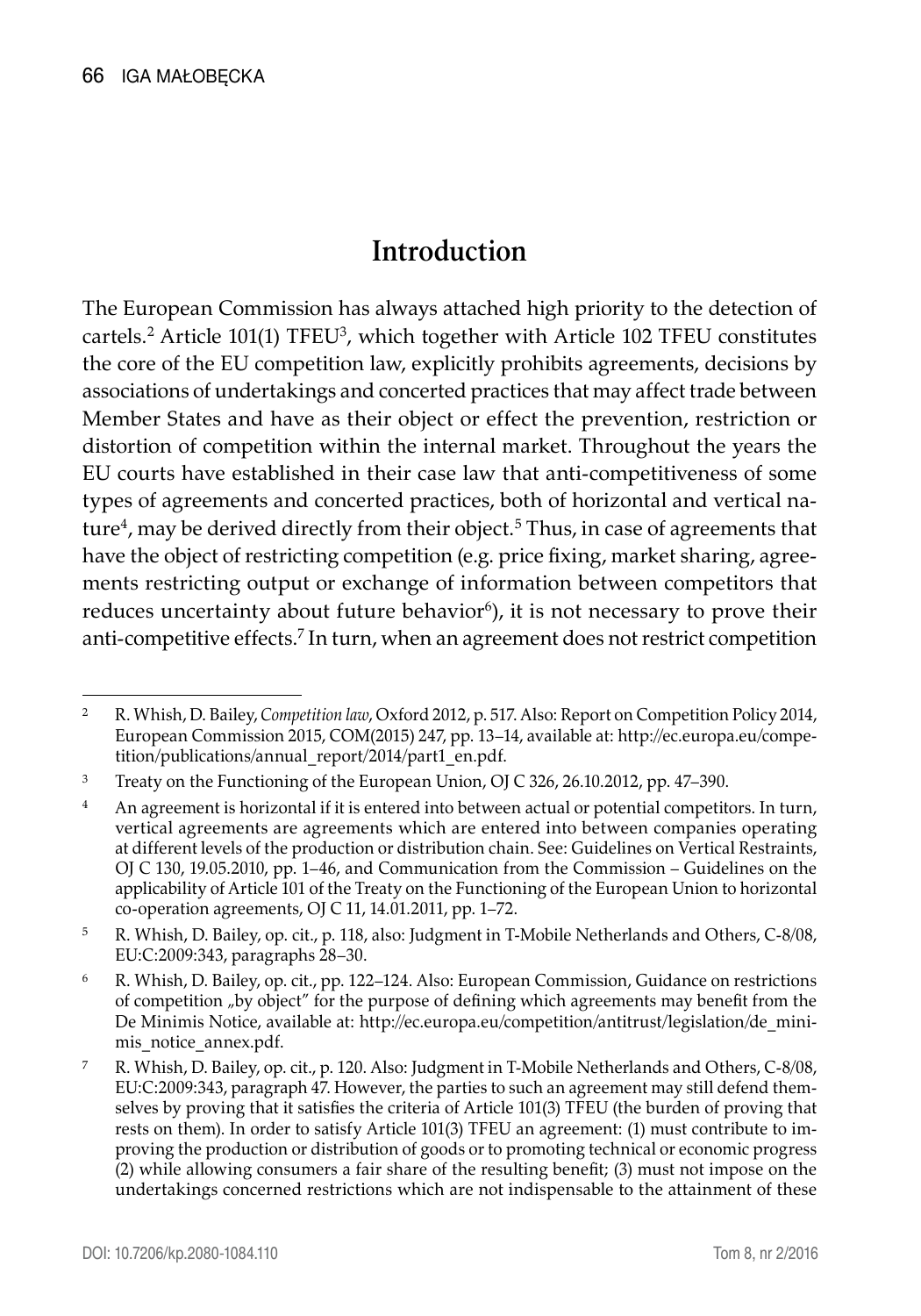### **Introduction**

The European Commission has always attached high priority to the detection of cartels.<sup>2</sup> Article 101(1) TFEU<sup>3</sup>, which together with Article 102 TFEU constitutes the core of the EU competition law, explicitly prohibits agreements, decisions by associations of undertakings and concerted practices that may affect trade between Member States and have as their object or effect the prevention, restriction or distortion of competition within the internal market. Throughout the years the EU courts have established in their case law that anti-competitiveness of some types of agreements and concerted practices, both of horizontal and vertical nature<sup>4</sup>, may be derived directly from their object.<sup>5</sup> Thus, in case of agreements that have the object of restricting competition (e.g. price fixing, market sharing, agreements restricting output or exchange of information between competitors that reduces uncertainty about future behavior<sup>6</sup>), it is not necessary to prove their anti-competitive effects.7 In turn, when an agreement does not restrict competition

<sup>2</sup> R. Whish, D. Bailey, *Competition law*, Oxford 2012, p. 517. Also: Report on Competition Policy 2014, European Commission 2015, COM(2015) 247, pp. 13–14, available at: http://ec.europa.eu/competition/publications/annual\_report/2014/part1\_en.pdf.

<sup>3</sup> Treaty on the Functioning of the European Union, OJ C 326, 26.10.2012, pp. 47–390.

<sup>&</sup>lt;sup>4</sup> An agreement is horizontal if it is entered into between actual or potential competitors. In turn, vertical agreements are agreements which are entered into between companies operating at different levels of the production or distribution chain. See: Guidelines on Vertical Restraints, OJ C 130, 19.05.2010, pp. 1–46, and Communication from the Commission – Guidelines on the applicability of Article 101 of the Treaty on the Functioning of the European Union to horizontal co-operation agreements, OJ C 11, 14.01.2011, pp. 1–72.

<sup>5</sup> R. Whish, D. Bailey, op. cit., p. 118, also: Judgment in T-Mobile Netherlands and Others, C-8/08, EU:C:2009:343, paragraphs 28–30.

<sup>6</sup> R. Whish, D. Bailey, op. cit., pp. 122–124. Also: European Commission, Guidance on restrictions of competition "by object" for the purpose of defining which agreements may benefit from the De Minimis Notice, available at: http://ec.europa.eu/competition/antitrust/legislation/de\_minimis\_notice\_annex.pdf.

<sup>7</sup> R. Whish, D. Bailey, op. cit., p. 120. Also: Judgment in T-Mobile Netherlands and Others, C-8/08, EU:C:2009:343, paragraph 47. However, the parties to such an agreement may still defend themselves by proving that it satisfies the criteria of Article 101(3) TFEU (the burden of proving that rests on them). In order to satisfy Article 101(3) TFEU an agreement: (1) must contribute to improving the production or distribution of goods or to promoting technical or economic progress (2) while allowing consumers a fair share of the resulting benefit; (3) must not impose on the undertakings concerned restrictions which are not indispensable to the attainment of these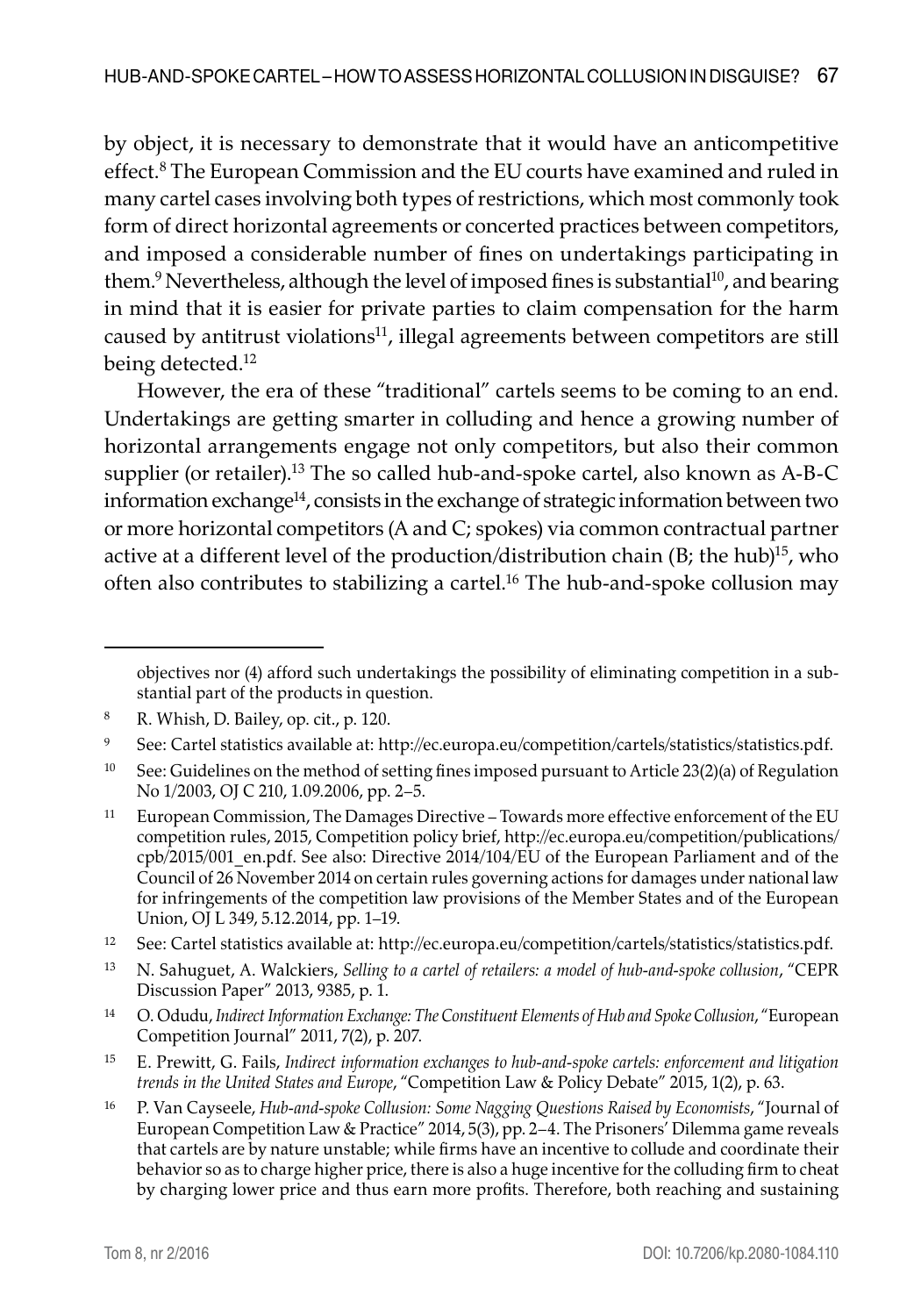by object, it is necessary to demonstrate that it would have an anticompetitive effect.<sup>8</sup> The European Commission and the EU courts have examined and ruled in many cartel cases involving both types of restrictions, which most commonly took form of direct horizontal agreements or concerted practices between competitors, and imposed a considerable number of fines on undertakings participating in them.<sup>9</sup> Nevertheless, although the level of imposed fines is substantial<sup>10</sup>, and bearing in mind that it is easier for private parties to claim compensation for the harm caused by antitrust violations $11$ , illegal agreements between competitors are still being detected.<sup>12</sup>

However, the era of these "traditional" cartels seems to be coming to an end. Undertakings are getting smarter in colluding and hence a growing number of horizontal arrangements engage not only competitors, but also their common supplier (or retailer).<sup>13</sup> The so called hub-and-spoke cartel, also known as  $A-B-C$ information exchange $14$ , consists in the exchange of strategic information between two or more horizontal competitors (A and C; spokes) via common contractual partner active at a different level of the production/distribution chain  $(B;$  the hub)<sup>15</sup>, who often also contributes to stabilizing a cartel.16 The hub-and-spoke collusion may

- <sup>12</sup> See: Cartel statistics available at: http://ec.europa.eu/competition/cartels/statistics/statistics.pdf.
- <sup>13</sup> N. Sahuguet, A. Walckiers, *Selling to a cartel of retailers: a model of hub-and-spoke collusion*, "CEPR Discussion Paper" 2013, 9385, p. 1.
- <sup>14</sup> O. Odudu, *Indirect Information Exchange: The Constituent Elements of Hub and Spoke Collusion*, "European Competition Journal" 2011, 7(2), p. 207.
- <sup>15</sup> E. Prewitt, G. Fails, *Indirect information exchanges to hub-and-spoke cartels: enforcement and litigation trends in the United States and Europe*, "Competition Law & Policy Debate" 2015, 1(2), p. 63.
- <sup>16</sup> P. Van Cayseele, *Hub-and-spoke Collusion: Some Nagging Questions Raised by Economists, "Journal of* European Competition Law & Practice" 2014, 5(3), pp. 2–4. The Prisoners' Dilemma game reveals that cartels are by nature unstable; while firms have an incentive to collude and coordinate their behavior so as to charge higher price, there is also a huge incentive for the colluding firm to cheat by charging lower price and thus earn more profits. Therefore, both reaching and sustaining

objectives nor (4) afford such undertakings the possibility of eliminating competition in a substantial part of the products in question.

<sup>8</sup> R. Whish, D. Bailey, op. cit., p. 120.

<sup>9</sup> See: Cartel statistics available at: http://ec.europa.eu/competition/cartels/statistics/statistics.pdf.

<sup>&</sup>lt;sup>10</sup> See: Guidelines on the method of setting fines imposed pursuant to Article 23(2)(a) of Regulation No 1/2003, OJ C 210, 1.09.2006, pp. 2–5.

<sup>11</sup> European Commission, The Damages Directive – Towards more effective enforcement of the EU competition rules, 2015, Competition policy brief, http://ec.europa.eu/competition/publications/ cpb/2015/001\_en.pdf. See also: Directive 2014/104/EU of the European Parliament and of the Council of 26 November 2014 on certain rules governing actions for damages under national law for infringements of the competition law provisions of the Member States and of the European Union, OJ L 349, 5.12.2014, pp. 1–19.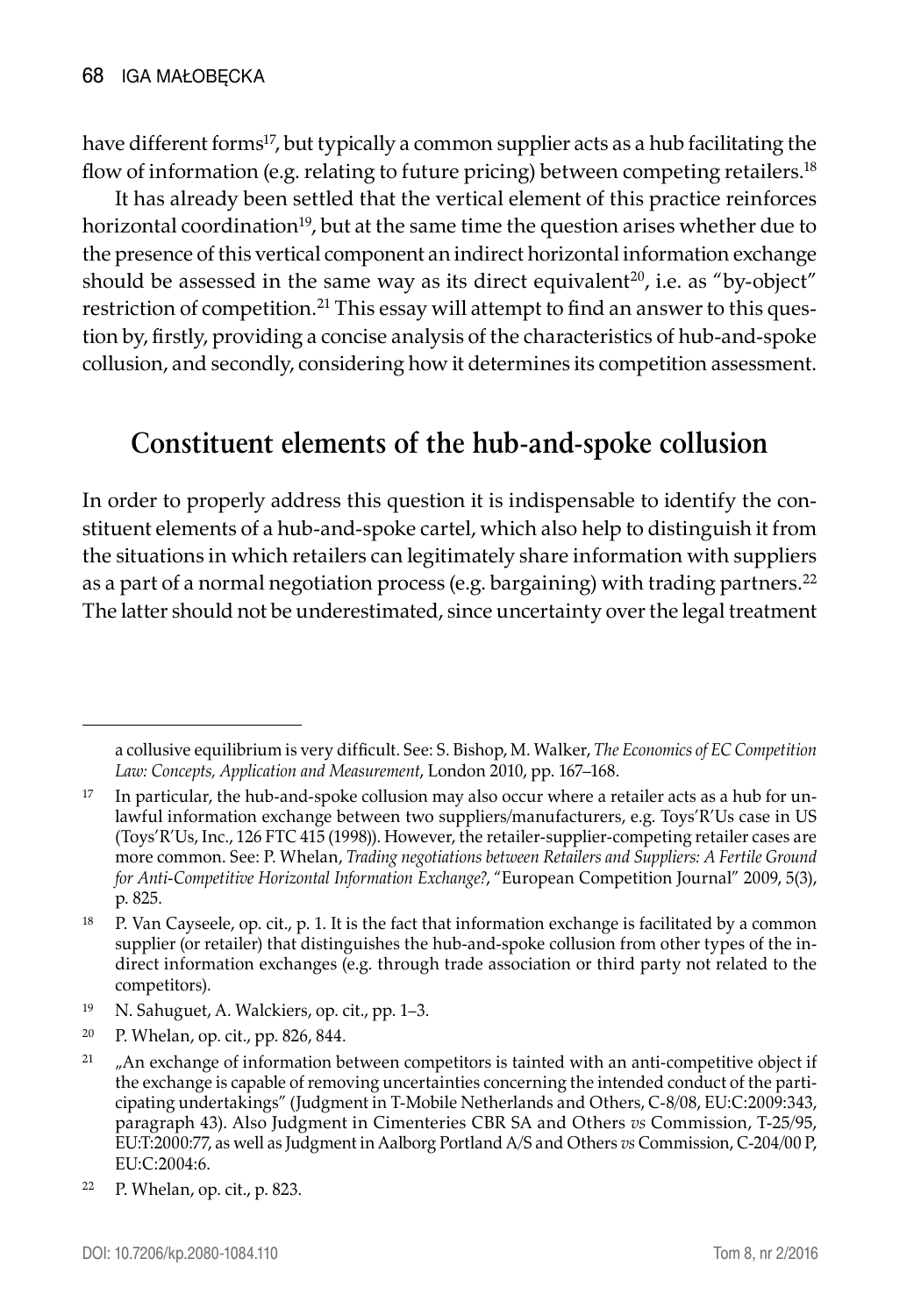have different forms<sup>17</sup>, but typically a common supplier acts as a hub facilitating the flow of information (e.g. relating to future pricing) between competing retailers.18

It has already been settled that the vertical element of this practice reinforces horizontal coordination<sup>19</sup>, but at the same time the question arises whether due to the presence of this vertical component an indirect horizontal information exchange should be assessed in the same way as its direct equivalent<sup>20</sup>, i.e. as "by-object" restriction of competition.21 This essay will attempt to find an answer to this question by, firstly, providing a concise analysis of the characteristics of hub-and-spoke collusion, and secondly, considering how it determines its competition assessment.

### **Constituent elements of the hub-and-spoke collusion**

In order to properly address this question it is indispensable to identify the constituent elements of a hub-and-spoke cartel, which also help to distinguish it from the situations in which retailers can legitimately share information with suppliers as a part of a normal negotiation process (e.g. bargaining) with trading partners.<sup>22</sup> The latter should not be underestimated, since uncertainty over the legal treatment

a collusive equilibrium is very difficult. See: S. Bishop, M. Walker, *The Economics of EC Competition Law: Concepts, Application and Measurement*, London 2010, pp. 167–168.

 $17$  In particular, the hub-and-spoke collusion may also occur where a retailer acts as a hub for unlawful information exchange between two suppliers/manufacturers, e.g. Toys'R'Us case in US (Toys'R'Us, Inc., 126 FTC 415 (1998)). However, the retailer-supplier-competing retailer cases are more common. See: P. Whelan, *Trading negotiations between Retailers and Suppliers: A Fertile Ground for Anti-Competitive Horizontal Information Exchange?*, "European Competition Journal" 2009, 5(3), p. 825.

<sup>18</sup> P. Van Cayseele, op. cit., p. 1. It is the fact that information exchange is facilitated by a common supplier (or retailer) that distinguishes the hub-and-spoke collusion from other types of the indirect information exchanges (e.g. through trade association or third party not related to the competitors).

<sup>19</sup> N. Sahuguet, A. Walckiers, op. cit., pp. 1–3.

<sup>20</sup> P. Whelan, op. cit., pp. 826, 844.

 $21$   $\mu$ An exchange of information between competitors is tainted with an anti-competitive object if the exchange is capable of removing uncertainties concerning the intended conduct of the participating undertakings" (Judgment in T-Mobile Netherlands and Others, C-8/08, EU:C:2009:343, paragraph 43). Also Judgment in Cimenteries CBR SA and Others *vs* Commission, T-25/95, EU:T:2000:77, as well as Judgment in Aalborg Portland A/S and Others *vs* Commission, C-204/00 P, EU:C:2004:6.

<sup>22</sup> P. Whelan, op. cit., p. 823.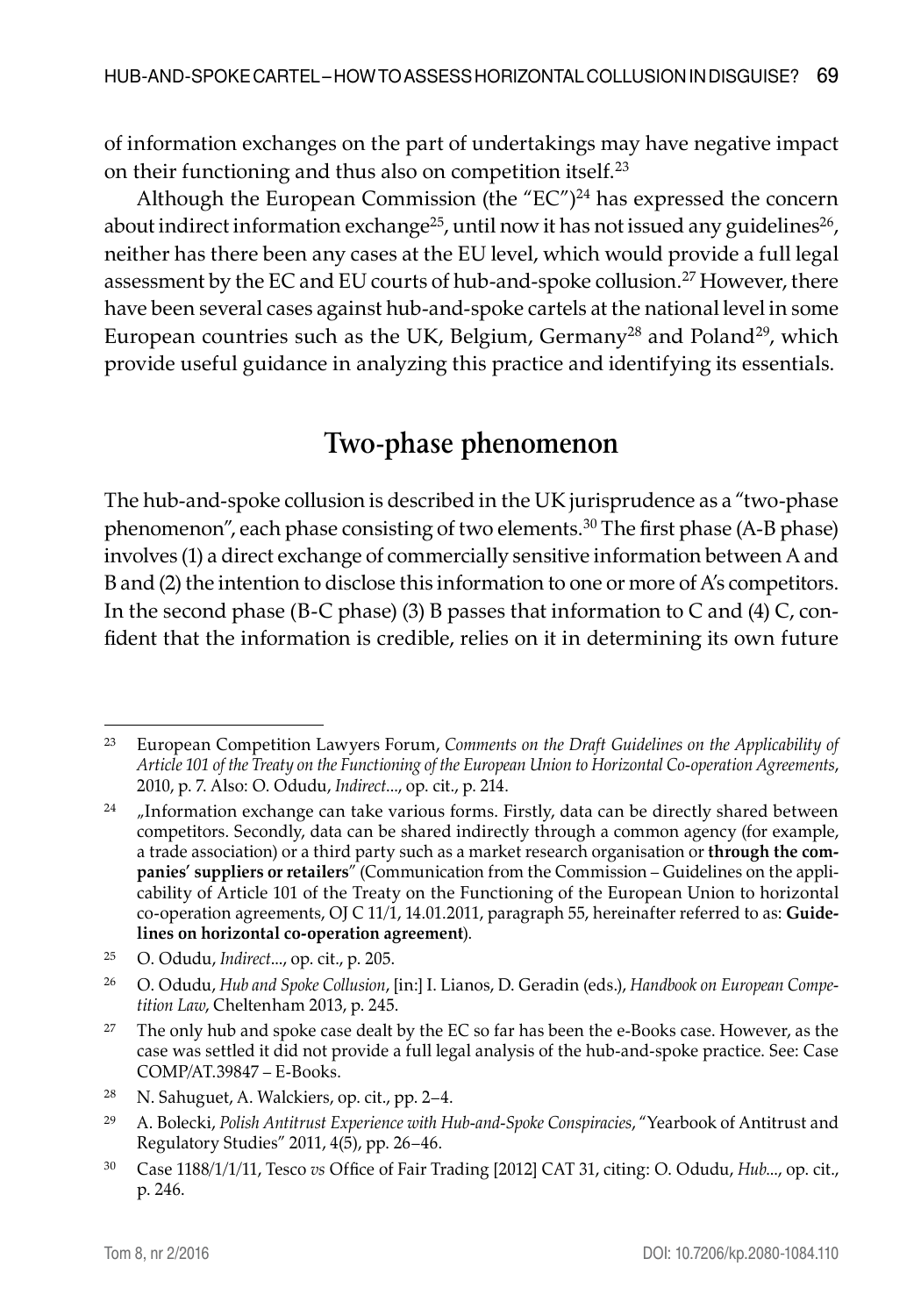of information exchanges on the part of undertakings may have negative impact on their functioning and thus also on competition itself.23

Although the European Commission (the " $EC''$ )<sup>24</sup> has expressed the concern about indirect information exchange<sup>25</sup>, until now it has not issued any guidelines<sup>26</sup>, neither has there been any cases at the EU level, which would provide a full legal assessment by the EC and EU courts of hub-and-spoke collusion.27 However, there have been several cases against hub-and-spoke cartels at the national level in some European countries such as the UK, Belgium, Germany<sup>28</sup> and Poland<sup>29</sup>, which provide useful guidance in analyzing this practice and identifying its essentials.

#### **Two-phase phenomenon**

The hub-and-spoke collusion is described in the UK jurisprudence as a "two-phase phenomenon", each phase consisting of two elements.<sup>30</sup> The first phase (A-B phase) involves (1) a direct exchange of commercially sensitive information between A and B and (2) the intention to disclose this information to one or more of A's competitors. In the second phase (B-C phase) (3) B passes that information to C and (4)  $C$ , confident that the information is credible, relies on it in determining its own future

<sup>23</sup> European Competition Lawyers Forum, *Comments on the Draft Guidelines on the Applicability of Article 101 of the Treaty on the Functioning of the European Union to Horizontal Co-operation Agreements*, 2010, p. 7. Also: O. Odudu, *Indirect*..., op. cit., p. 214.

 $24$  . Information exchange can take various forms. Firstly, data can be directly shared between competitors. Secondly, data can be shared indirectly through a common agency (for example, a trade association) or a third party such as a market research organisation or **through the companies' suppliers or retailers**" (Communication from the Commission – Guidelines on the applicability of Article 101 of the Treaty on the Functioning of the European Union to horizontal co-operation agreements, OJ C 11/1, 14.01.2011, paragraph 55, hereinafter referred to as: **Guidelines on horizontal co-operation agreement**).

<sup>25</sup> O. Odudu, *Indirect*..., op. cit., p. 205.

<sup>26</sup> O. Odudu, *Hub and Spoke Collusion*, [in:] I. Lianos, D. Geradin (eds.), *Handbook on European Competition Law*, Cheltenham 2013, p. 245.

 $27$  The only hub and spoke case dealt by the EC so far has been the e-Books case. However, as the case was settled it did not provide a full legal analysis of the hub-and-spoke practice. See: Case COMP/AT.39847 – E-Books.

<sup>28</sup> N. Sahuguet, A. Walckiers, op. cit., pp. 2–4.

<sup>29</sup> A. Bolecki, *Polish Antitrust Experience with Hub-and-Spoke Conspiracies*, "Yearbook of Antitrust and Regulatory Studies" 2011, 4(5), pp. 26–46.

<sup>30</sup> Case 1188/1/1/11, Tesco *vs* Office of Fair Trading [2012] CAT 31, citing: O. Odudu, *Hub*..., op. cit., p. 246.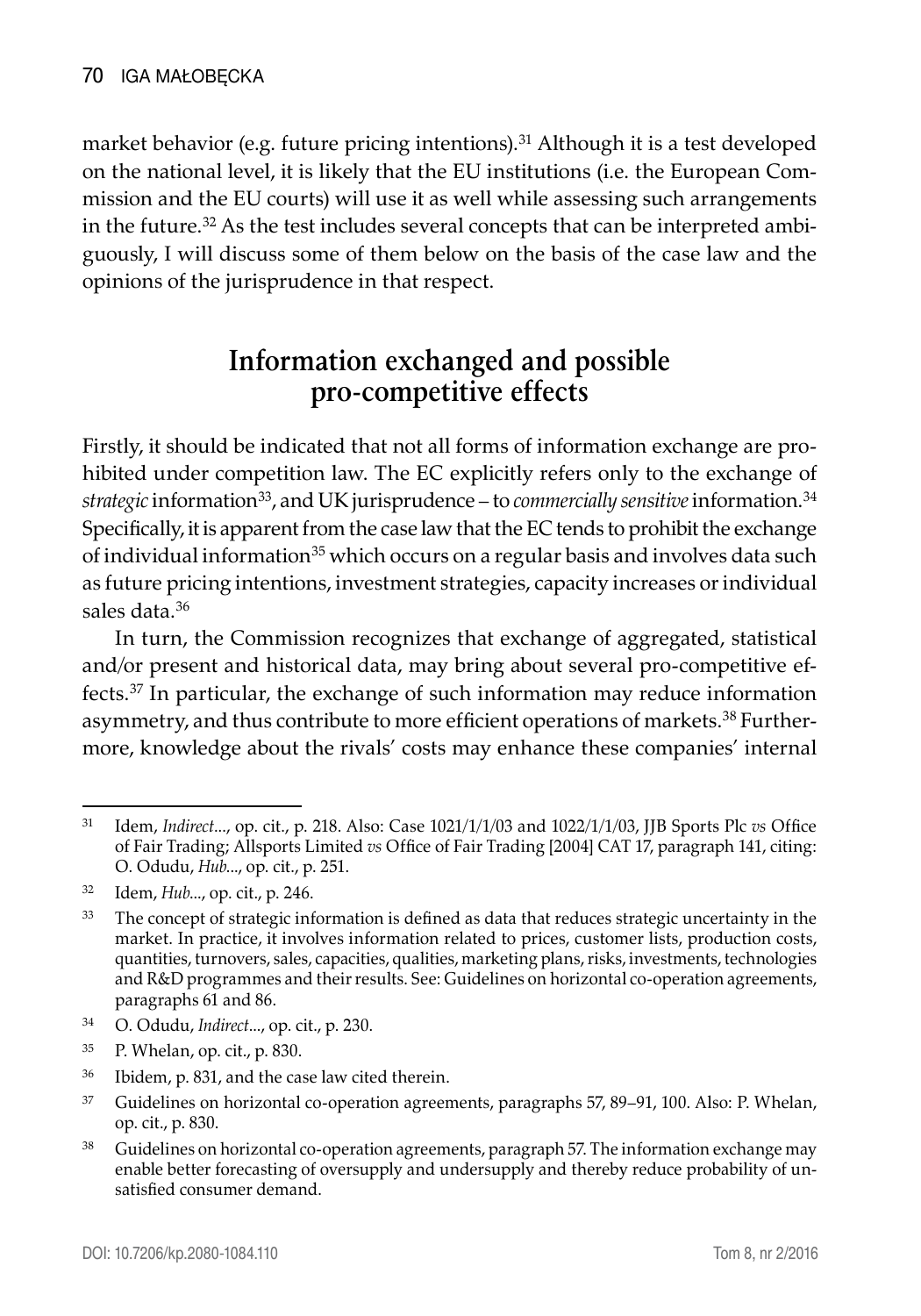market behavior (e.g. future pricing intentions).<sup>31</sup> Although it is a test developed on the national level, it is likely that the EU institutions (i.e. the European Commission and the EU courts) will use it as well while assessing such arrangements in the future.<sup>32</sup> As the test includes several concepts that can be interpreted ambiguously, I will discuss some of them below on the basis of the case law and the opinions of the jurisprudence in that respect.

# **Information exchanged and possible pro-competitive effects**

Firstly, it should be indicated that not all forms of information exchange are prohibited under competition law. The EC explicitly refers only to the exchange of *strategic* information33, and UK jurisprudence – to *commercially sensitive* information.34 Specifically, it is apparent from the case law that the EC tends to prohibit the exchange of individual information<sup>35</sup> which occurs on a regular basis and involves data such as future pricing intentions, investment strategies, capacity increases or individual sales data.<sup>36</sup>

In turn, the Commission recognizes that exchange of aggregated, statistical and/or present and historical data, may bring about several pro-competitive effects.37 In particular, the exchange of such information may reduce information asymmetry, and thus contribute to more efficient operations of markets.<sup>38</sup> Furthermore, knowledge about the rivals' costs may enhance these companies' internal

- <sup>34</sup> O. Odudu, *Indirect*..., op. cit., p. 230.
- <sup>35</sup> P. Whelan, op. cit., p. 830.

<sup>31</sup> Idem, *Indirect*..., op. cit., p. 218. Also: Case 1021/1/1/03 and 1022/1/1/03, JJB Sports Plc *vs* Office of Fair Trading; Allsports Limited *vs* Office of Fair Trading [2004] CAT 17, paragraph 141, citing: O. Odudu, *Hub*..., op. cit., p. 251.

<sup>32</sup> Idem, *Hub*..., op. cit., p. 246.

<sup>&</sup>lt;sup>33</sup> The concept of strategic information is defined as data that reduces strategic uncertainty in the market. In practice, it involves information related to prices, customer lists, production costs, quantities, turnovers, sales, capacities, qualities, marketing plans, risks, investments, technologies and R&D programmes and their results. See: Guidelines on horizontal co-operation agreements, paragraphs 61 and 86.

<sup>36</sup> Ibidem, p. 831, and the case law cited therein.

<sup>37</sup> Guidelines on horizontal co-operation agreements, paragraphs 57, 89–91, 100. Also: P. Whelan, op. cit., p. 830.

<sup>38</sup> Guidelines on horizontal co-operation agreements, paragraph 57. The information exchange may enable better forecasting of oversupply and undersupply and thereby reduce probability of unsatisfied consumer demand.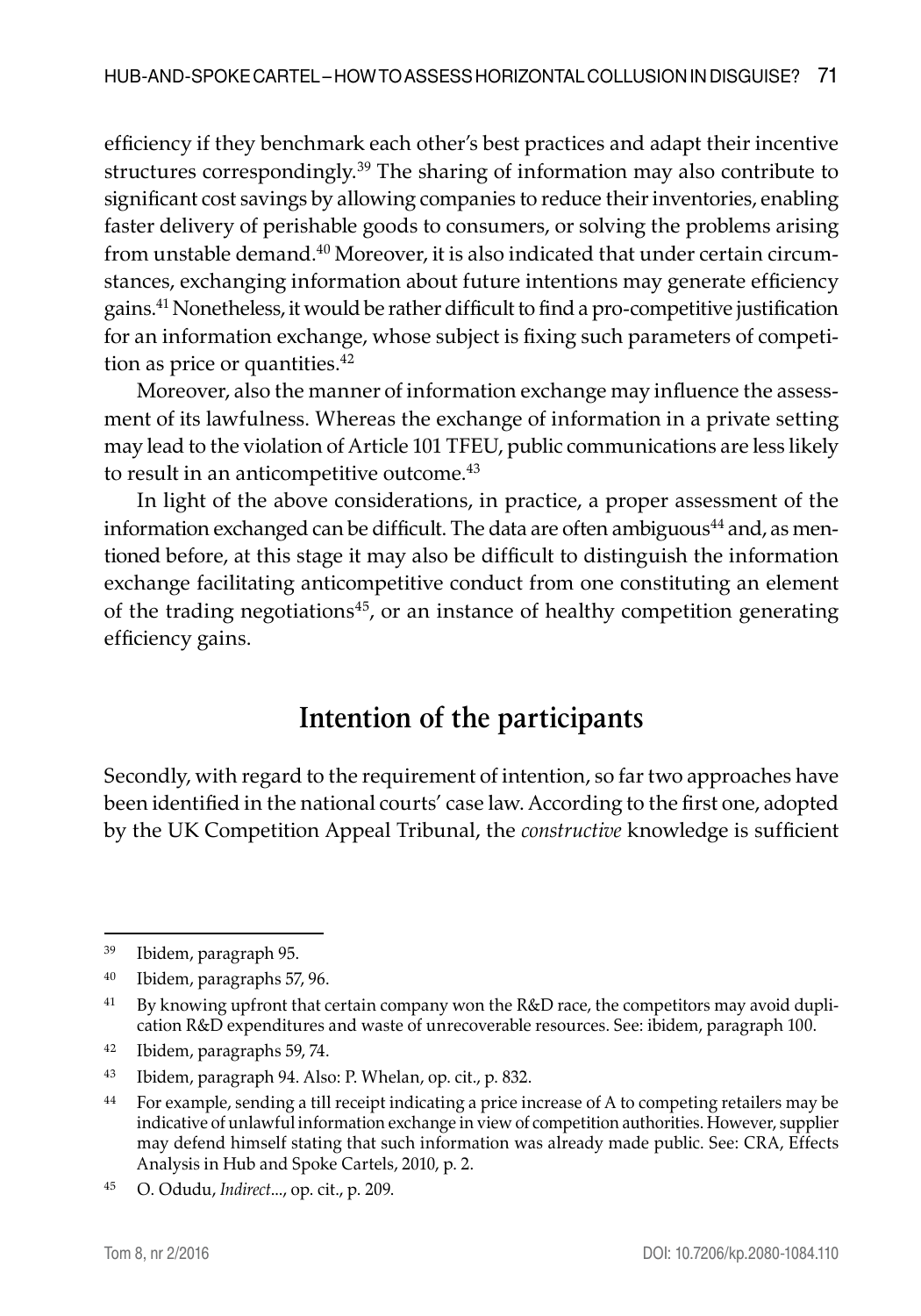efficiency if they benchmark each other's best practices and adapt their incentive structures correspondingly.<sup>39</sup> The sharing of information may also contribute to significant cost savings by allowing companies to reduce their inventories, enabling faster delivery of perishable goods to consumers, or solving the problems arising from unstable demand. $40$  Moreover, it is also indicated that under certain circumstances, exchanging information about future intentions may generate efficiency gains.41 Nonetheless, it would be rather difficult to find a pro-competitive justification for an information exchange, whose subject is fixing such parameters of competition as price or quantities.<sup>42</sup>

Moreover, also the manner of information exchange may influence the assessment of its lawfulness. Whereas the exchange of information in a private setting may lead to the violation of Article 101 TFEU, public communications are less likely to result in an anticompetitive outcome.<sup>43</sup>

In light of the above considerations, in practice, a proper assessment of the information exchanged can be difficult. The data are often ambiguous $44$  and, as mentioned before, at this stage it may also be difficult to distinguish the information exchange facilitating anticompetitive conduct from one constituting an element of the trading negotiations<sup>45</sup>, or an instance of healthy competition generating efficiency gains.

# **Intention of the participants**

Secondly, with regard to the requirement of intention, so far two approaches have been identified in the national courts' case law. According to the first one, adopted by the UK Competition Appeal Tribunal, the *constructive* knowledge is sufficient

<sup>39</sup> Ibidem, paragraph 95.

<sup>40</sup> Ibidem, paragraphs 57, 96.

<sup>&</sup>lt;sup>41</sup> By knowing upfront that certain company won the R&D race, the competitors may avoid duplication R&D expenditures and waste of unrecoverable resources. See: ibidem, paragraph 100.

<sup>42</sup> Ibidem, paragraphs 59, 74.

<sup>43</sup> Ibidem, paragraph 94. Also: P. Whelan, op. cit., p. 832.

<sup>44</sup> For example, sending a till receipt indicating a price increase of A to competing retailers may be indicative of unlawful information exchange in view of competition authorities. However, supplier may defend himself stating that such information was already made public. See: CRA, Effects Analysis in Hub and Spoke Cartels, 2010, p. 2.

<sup>45</sup> O. Odudu, *Indirect*..., op. cit., p. 209.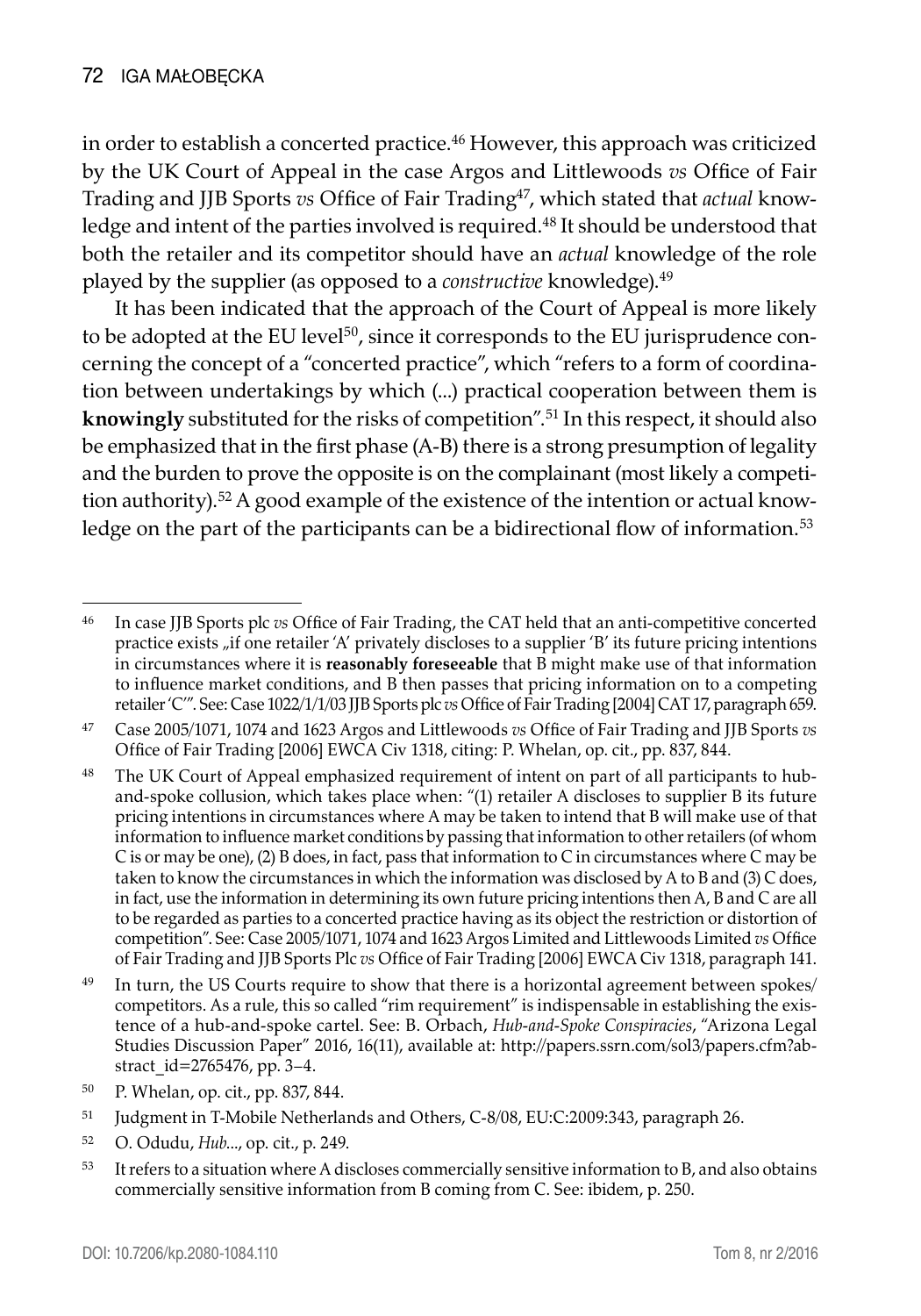in order to establish a concerted practice.<sup>46</sup> However, this approach was criticized by the UK Court of Appeal in the case Argos and Littlewoods *vs* Office of Fair Trading and JJB Sports *vs* Office of Fair Trading47, which stated that *actual* knowledge and intent of the parties involved is required.<sup>48</sup> It should be understood that both the retailer and its competitor should have an *actual* knowledge of the role played by the supplier (as opposed to a *constructive* knowledge).<sup>49</sup>

It has been indicated that the approach of the Court of Appeal is more likely to be adopted at the EU level $50$ , since it corresponds to the EU jurisprudence concerning the concept of a "concerted practice", which "refers to a form of coordination between undertakings by which (...) practical cooperation between them is **knowingly** substituted for the risks of competition".51 In this respect, it should also be emphasized that in the first phase (A-B) there is a strong presumption of legality and the burden to prove the opposite is on the complainant (most likely a competition authority).52 A good example of the existence of the intention or actual knowledge on the part of the participants can be a bidirectional flow of information.<sup>53</sup>

- <sup>52</sup> O. Odudu, *Hub*..., op. cit., p. 249.
- <sup>53</sup> It refers to a situation where A discloses commercially sensitive information to B, and also obtains commercially sensitive information from B coming from C. See: ibidem, p. 250.

<sup>46</sup> In case JJB Sports plc *vs* Office of Fair Trading, the CAT held that an anti-competitive concerted practice exists "if one retailer 'A' privately discloses to a supplier 'B' its future pricing intentions in circumstances where it is **reasonably foreseeable** that B might make use of that information to influence market conditions, and B then passes that pricing information on to a competing retailer 'C'". See: Case 1022/1/1/03 JJB Sports plc *vs* Office of Fair Trading [2004] CAT 17, paragraph 659.

<sup>47</sup> Case 2005/1071, 1074 and 1623 Argos and Littlewoods *vs* Office of Fair Trading and JJB Sports *vs*  Office of Fair Trading [2006] EWCA Civ 1318, citing: P. Whelan, op. cit., pp. 837, 844.

<sup>&</sup>lt;sup>48</sup> The UK Court of Appeal emphasized requirement of intent on part of all participants to huband-spoke collusion, which takes place when: "(1) retailer A discloses to supplier B its future pricing intentions in circumstances where A may be taken to intend that B will make use of that information to influence market conditions by passing that information to other retailers (of whom C is or may be one), (2) B does, in fact, pass that information to C in circumstances where C may be taken to know the circumstances in which the information was disclosed by A to B and (3) C does, in fact, use the information in determining its own future pricing intentions then A, B and C are all to be regarded as parties to a concerted practice having as its object the restriction or distortion of competition". See: Case 2005/1071, 1074 and 1623 Argos Limited and Littlewoods Limited *vs* Office of Fair Trading and JJB Sports Plc *vs* Office of Fair Trading [2006] EWCA Civ 1318, paragraph 141.

<sup>&</sup>lt;sup>49</sup> In turn, the US Courts require to show that there is a horizontal agreement between spokes/ competitors. As a rule, this so called "rim requirement" is indispensable in establishing the existence of a hub-and-spoke cartel. See: B. Orbach, *Hub-and-Spoke Conspiracies*, "Arizona Legal Studies Discussion Paper" 2016, 16(11), available at: http://papers.ssrn.com/sol3/papers.cfm?abstract\_id=2765476, pp. 3–4.

<sup>50</sup> P. Whelan, op. cit., pp. 837, 844.

<sup>51</sup> Judgment in T-Mobile Netherlands and Others, C-8/08, EU:C:2009:343, paragraph 26.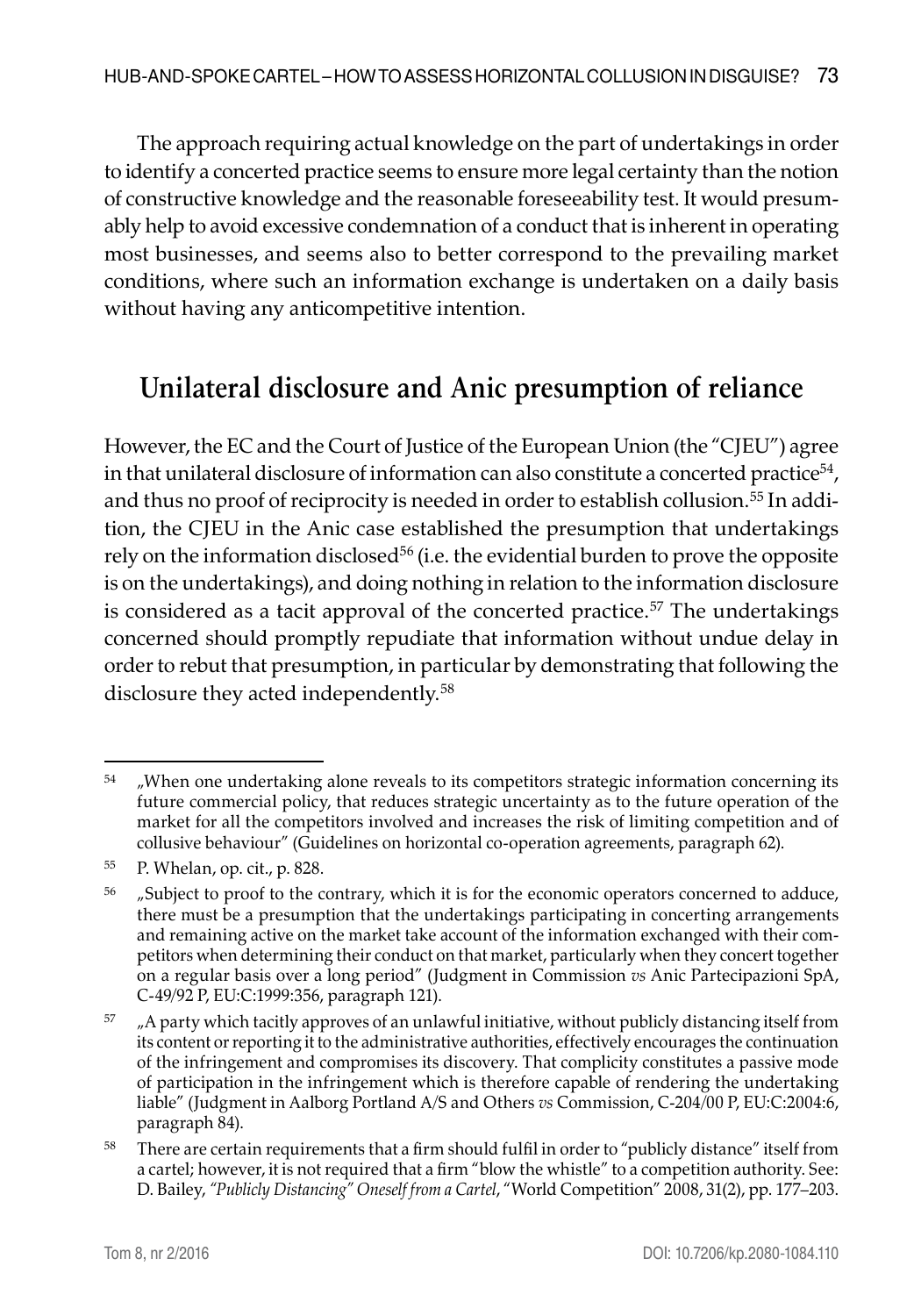The approach requiring actual knowledge on the part of undertakings in order to identify a concerted practice seems to ensure more legal certainty than the notion of constructive knowledge and the reasonable foreseeability test. It would presumably help to avoid excessive condemnation of a conduct that is inherent in operating most businesses, and seems also to better correspond to the prevailing market conditions, where such an information exchange is undertaken on a daily basis without having any anticompetitive intention.

# **Unilateral disclosure and Anic presumption of reliance**

However, the EC and the Court of Justice of the European Union (the "CJEU") agree in that unilateral disclosure of information can also constitute a concerted practice<sup>54</sup>, and thus no proof of reciprocity is needed in order to establish collusion.<sup>55</sup> In addition, the CJEU in the Anic case established the presumption that undertakings rely on the information disclosed $56$  (i.e. the evidential burden to prove the opposite is on the undertakings), and doing nothing in relation to the information disclosure is considered as a tacit approval of the concerted practice.<sup>57</sup> The undertakings concerned should promptly repudiate that information without undue delay in order to rebut that presumption, in particular by demonstrating that following the disclosure they acted independently.<sup>58</sup>

 $54$   $\mu$ When one undertaking alone reveals to its competitors strategic information concerning its future commercial policy, that reduces strategic uncertainty as to the future operation of the market for all the competitors involved and increases the risk of limiting competition and of collusive behaviour" (Guidelines on horizontal co-operation agreements, paragraph 62).

<sup>55</sup> P. Whelan, op. cit., p. 828.

<sup>&</sup>lt;sup>56</sup> "Subject to proof to the contrary, which it is for the economic operators concerned to adduce, there must be a presumption that the undertakings participating in concerting arrangements and remaining active on the market take account of the information exchanged with their competitors when determining their conduct on that market, particularly when they concert together on a regular basis over a long period" (Judgment in Commission *vs* Anic Partecipazioni SpA, C‑49/92 P, EU:C:1999:356, paragraph 121).

 $57$   $\mu$ A party which tacitly approves of an unlawful initiative, without publicly distancing itself from its content or reporting it to the administrative authorities, effectively encourages the continuation of the infringement and compromises its discovery. That complicity constitutes a passive mode of participation in the infringement which is therefore capable of rendering the undertaking liable" (Judgment in Aalborg Portland A/S and Others *vs* Commission, C-204/00 P, EU:C:2004:6, paragraph 84).

<sup>58</sup> There are certain requirements that a firm should fulfil in order to "publicly distance" itself from a cartel; however, it is not required that a firm "blow the whistle" to a competition authority. See: D. Bailey, *"Publicly Distancing" Oneself from a Cartel*, "World Competition" 2008, 31(2), pp. 177–203.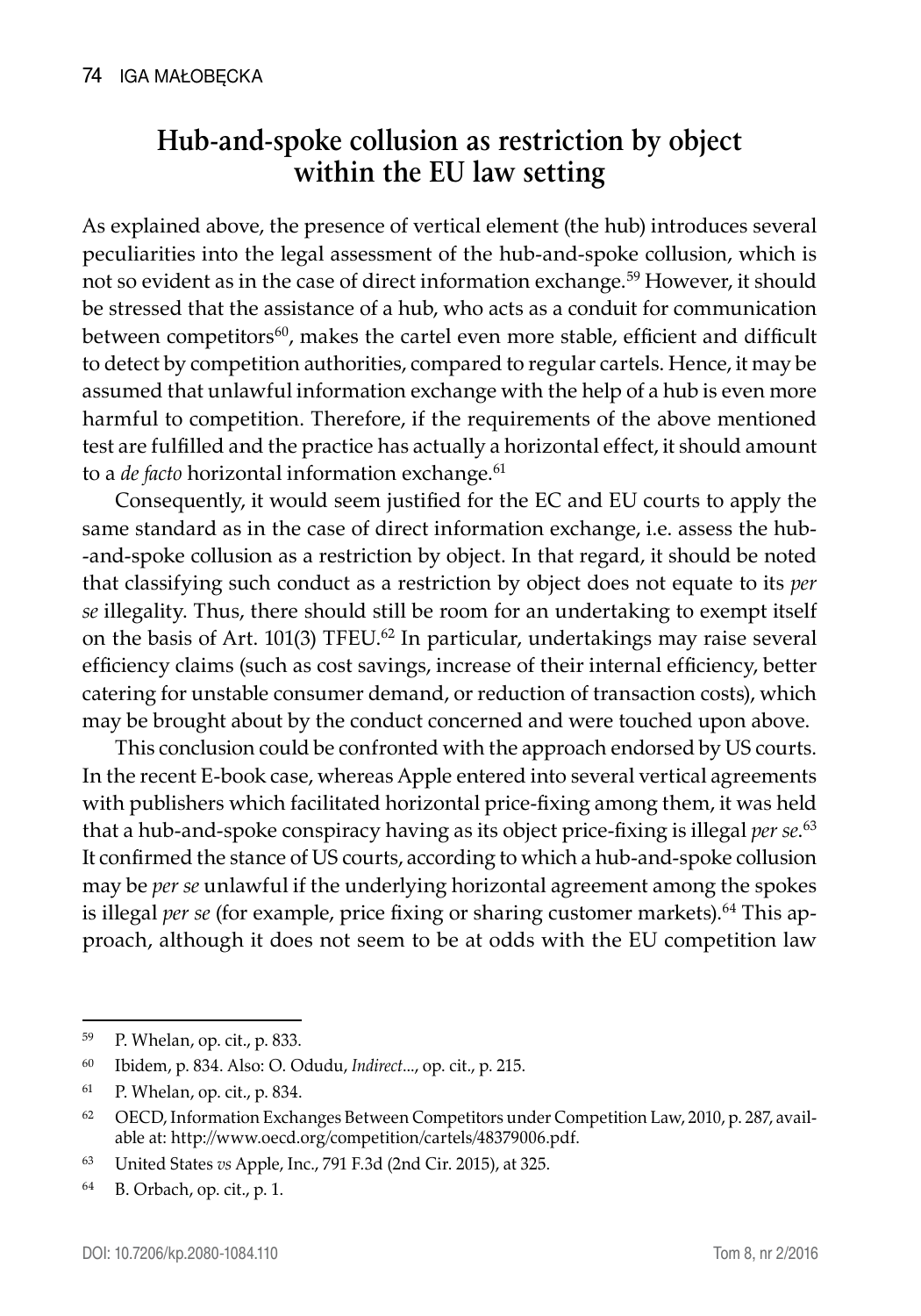## **Hub-and-spoke collusion as restriction by object within the EU law setting**

As explained above, the presence of vertical element (the hub) introduces several peculiarities into the legal assessment of the hub-and-spoke collusion, which is not so evident as in the case of direct information exchange.<sup>59</sup> However, it should be stressed that the assistance of a hub, who acts as a conduit for communication between competitors $60$ , makes the cartel even more stable, efficient and difficult to detect by competition authorities, compared to regular cartels. Hence, it may be assumed that unlawful information exchange with the help of a hub is even more harmful to competition. Therefore, if the requirements of the above mentioned test are fulfilled and the practice has actually a horizontal effect, it should amount to a *de facto* horizontal information exchange.<sup>61</sup>

Consequently, it would seem justified for the EC and EU courts to apply the same standard as in the case of direct information exchange, i.e. assess the hub- -and-spoke collusion as a restriction by object. In that regard, it should be noted that classifying such conduct as a restriction by object does not equate to its *per se* illegality. Thus, there should still be room for an undertaking to exempt itself on the basis of Art. 101(3) TFEU. $62$  In particular, undertakings may raise several efficiency claims (such as cost savings, increase of their internal efficiency, better catering for unstable consumer demand, or reduction of transaction costs), which may be brought about by the conduct concerned and were touched upon above.

This conclusion could be confronted with the approach endorsed by US courts. In the recent E-book case, whereas Apple entered into several vertical agreements with publishers which facilitated horizontal price-fixing among them, it was held that a hub-and-spoke conspiracy having as its object price-fixing is illegal *per se*. 63 It confirmed the stance of US courts, according to which a hub-and-spoke collusion may be *per se* unlawful if the underlying horizontal agreement among the spokes is illegal *per se* (for example, price fixing or sharing customer markets).<sup>64</sup> This approach, although it does not seem to be at odds with the EU competition law

<sup>59</sup> P. Whelan, op. cit., p. 833.

<sup>60</sup> Ibidem, p. 834. Also: O. Odudu, *Indirect*..., op. cit., p. 215.

<sup>61</sup> P. Whelan, op. cit., p. 834.

<sup>62</sup> OECD, Information Exchanges Between Competitors under Competition Law, 2010, p. 287, available at: http://www.oecd.org/competition/cartels/48379006.pdf.

<sup>63</sup> United States *vs* Apple, Inc., 791 F.3d (2nd Cir. 2015), at 325.

<sup>64</sup> B. Orbach, op. cit., p. 1.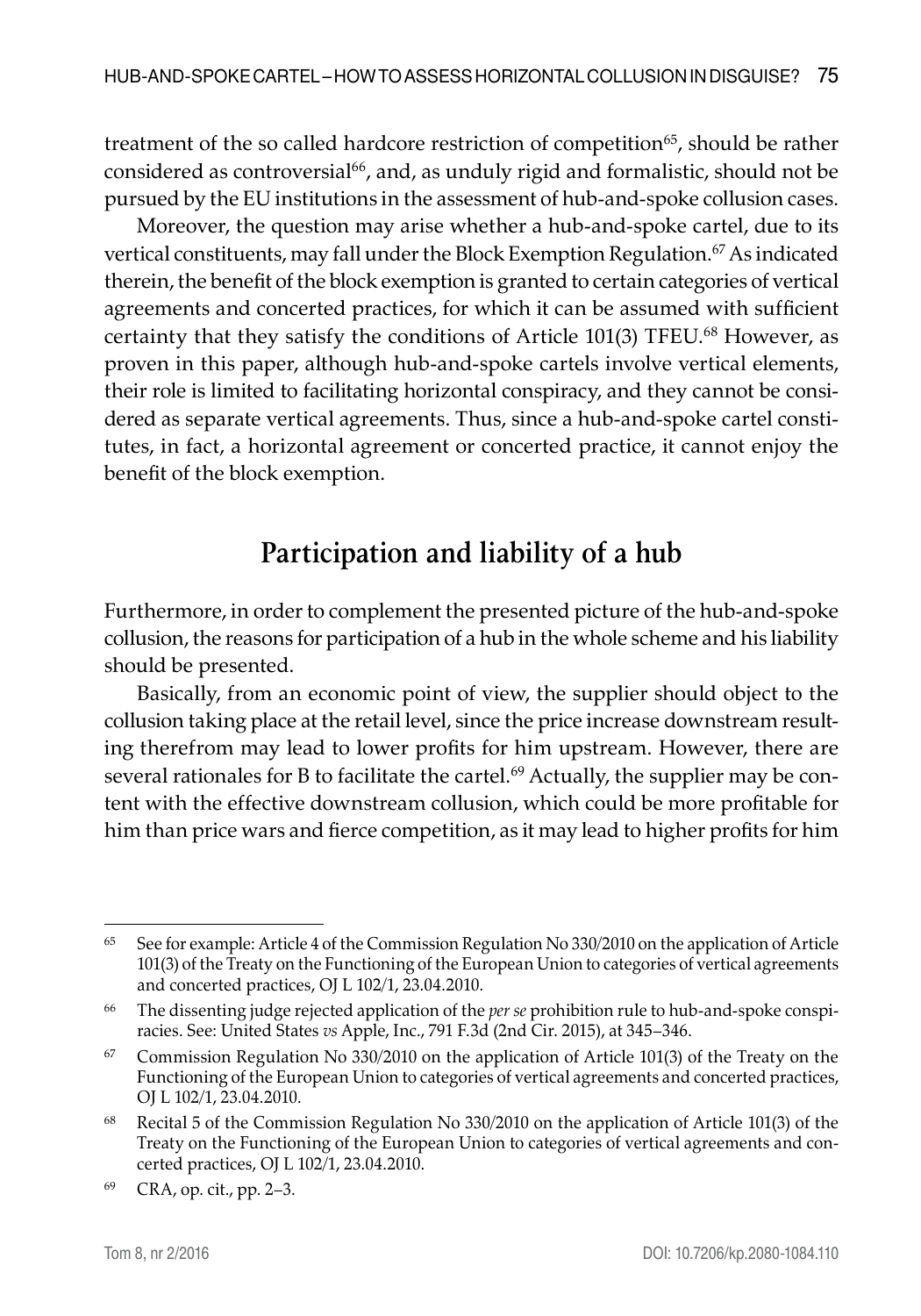treatment of the so called hardcore restriction of competition<sup>65</sup>, should be rather considered as controversial<sup>66</sup>, and, as unduly rigid and formalistic, should not be pursued by the EU institutions in the assessment of hub-and-spoke collusion cases.

Moreover, the question may arise whether a hub-and-spoke cartel, due to its vertical constituents, may fall under the Block Exemption Regulation.<sup>67</sup> As indicated therein, the benefit of the block exemption is granted to certain categories of vertical agreements and concerted practices, for which it can be assumed with sufficient certainty that they satisfy the conditions of Article 101(3) TFEU.<sup>68</sup> However, as proven in this paper, although hub-and-spoke cartels involve vertical elements, their role is limited to facilitating horizontal conspiracy, and they cannot be considered as separate vertical agreements. Thus, since a hub-and-spoke cartel constitutes, in fact, a horizontal agreement or concerted practice, it cannot enjoy the benefit of the block exemption.

# **Participation and liability of a hub**

Furthermore, in order to complement the presented picture of the hub-and-spoke collusion, the reasons for participation of a hub in the whole scheme and his liability should be presented.

Basically, from an economic point of view, the supplier should object to the collusion taking place at the retail level, since the price increase downstream resulting therefrom may lead to lower profits for him upstream. However, there are several rationales for B to facilitate the cartel.<sup>69</sup> Actually, the supplier may be content with the effective downstream collusion, which could be more profitable for him than price wars and fierce competition, as it may lead to higher profits for him

<sup>65</sup> See for example: Article 4 of the Commission Regulation No 330/2010 on the application of Article 101(3) of the Treaty on the Functioning of the European Union to categories of vertical agreements and concerted practices, OJ L 102/1, 23.04.2010.

<sup>66</sup> The dissenting judge rejected application of the *per se* prohibition rule to hub-and-spoke conspiracies. See: United States *vs* Apple, Inc., 791 F.3d (2nd Cir. 2015), at 345–346.

 $67$  Commission Regulation No 330/2010 on the application of Article 101(3) of the Treaty on the Functioning of the European Union to categories of vertical agreements and concerted practices, OJ L 102/1, 23.04.2010.

<sup>68</sup> Recital 5 of the Commission Regulation No 330/2010 on the application of Article 101(3) of the Treaty on the Functioning of the European Union to categories of vertical agreements and concerted practices, OJ L 102/1, 23.04.2010.

<sup>69</sup> CRA, op. cit., pp. 2–3.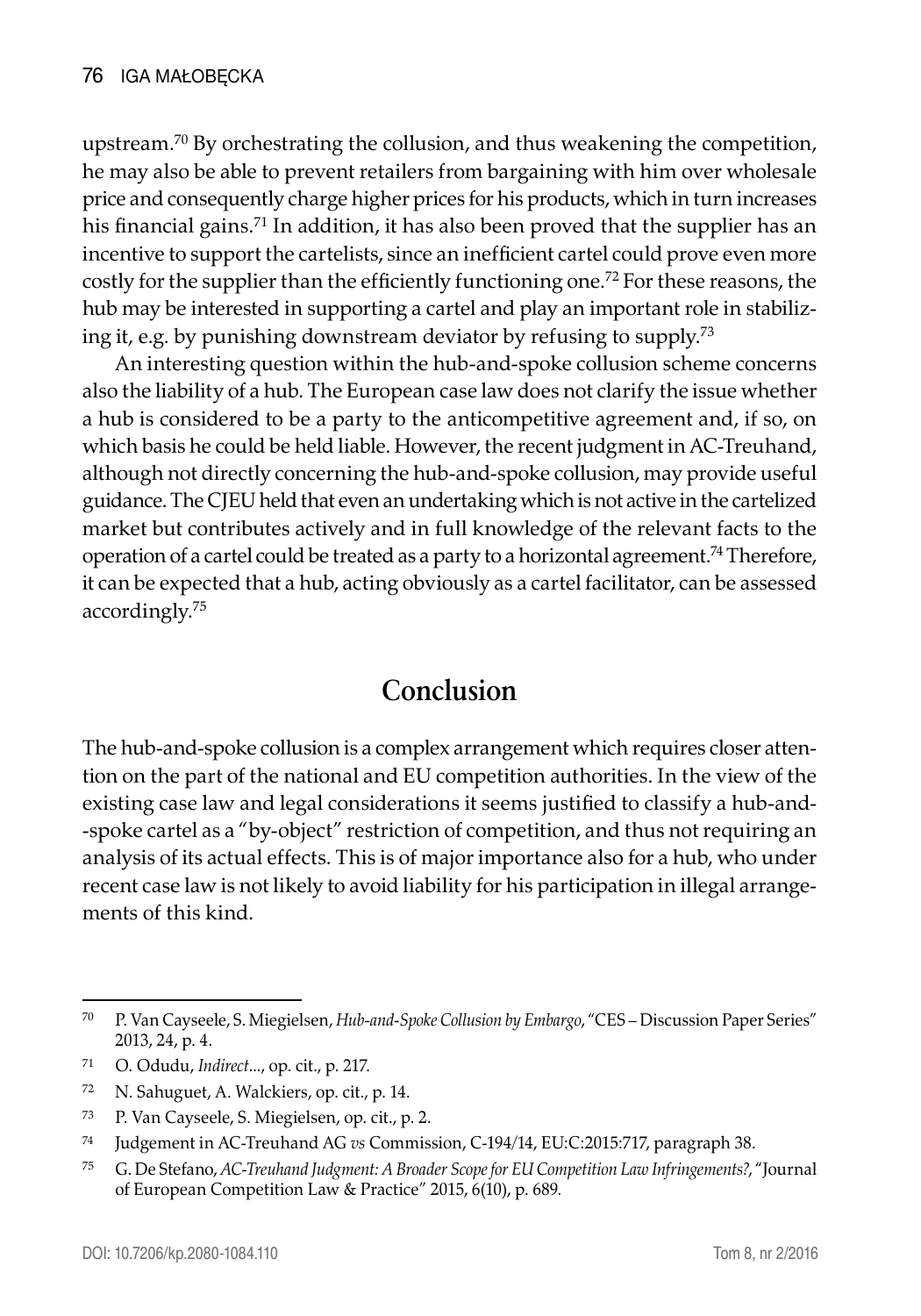upstream.<sup>70</sup> By orchestrating the collusion, and thus weakening the competition, he may also be able to prevent retailers from bargaining with him over wholesale price and consequently charge higher prices for his products, which in turn increases his financial gains.<sup>71</sup> In addition, it has also been proved that the supplier has an incentive to support the cartelists, since an inefficient cartel could prove even more costly for the supplier than the efficiently functioning one.<sup>72</sup> For these reasons, the hub may be interested in supporting a cartel and play an important role in stabilizing it, e.g. by punishing downstream deviator by refusing to supply.73

An interesting question within the hub-and-spoke collusion scheme concerns also the liability of a hub. The European case law does not clarify the issue whether a hub is considered to be a party to the anticompetitive agreement and, if so, on which basis he could be held liable. However, the recent judgment in AC-Treuhand, although not directly concerning the hub-and-spoke collusion, may provide useful guidance. The CJEU held that even an undertaking which is not active in the cartelized market but contributes actively and in full knowledge of the relevant facts to the operation of a cartel could be treated as a party to a horizontal agreement.74 Therefore, it can be expected that a hub, acting obviously as a cartel facilitator, can be assessed accordingly.75

## **Conclusion**

The hub-and-spoke collusion is a complex arrangement which requires closer attention on the part of the national and EU competition authorities. In the view of the existing case law and legal considerations it seems justified to classify a hub-and- -spoke cartel as a "by-object" restriction of competition, and thus not requiring an analysis of its actual effects. This is of major importance also for a hub, who under recent case law is not likely to avoid liability for his participation in illegal arrangements of this kind.

<sup>70</sup> P. Van Cayseele, S. Miegielsen, *Hub-and-Spoke Collusion by Embargo*, "CES – Discussion Paper Series" 2013, 24, p. 4.

<sup>71</sup> O. Odudu, *Indirect*..., op. cit., p. 217.

<sup>72</sup> N. Sahuguet, A. Walckiers, op. cit., p. 14.

<sup>73</sup> P. Van Cayseele, S. Miegielsen, op. cit., p. 2.

<sup>74</sup> Judgement in AC-Treuhand AG *vs* Commission, C-194/14, EU:C:2015:717, paragraph 38.

<sup>75</sup> G. De Stefano, *AC-Treuhand Judgment: A Broader Scope for EU Competition Law Infringements?*, "Journal of European Competition Law & Practice" 2015, 6(10), p. 689.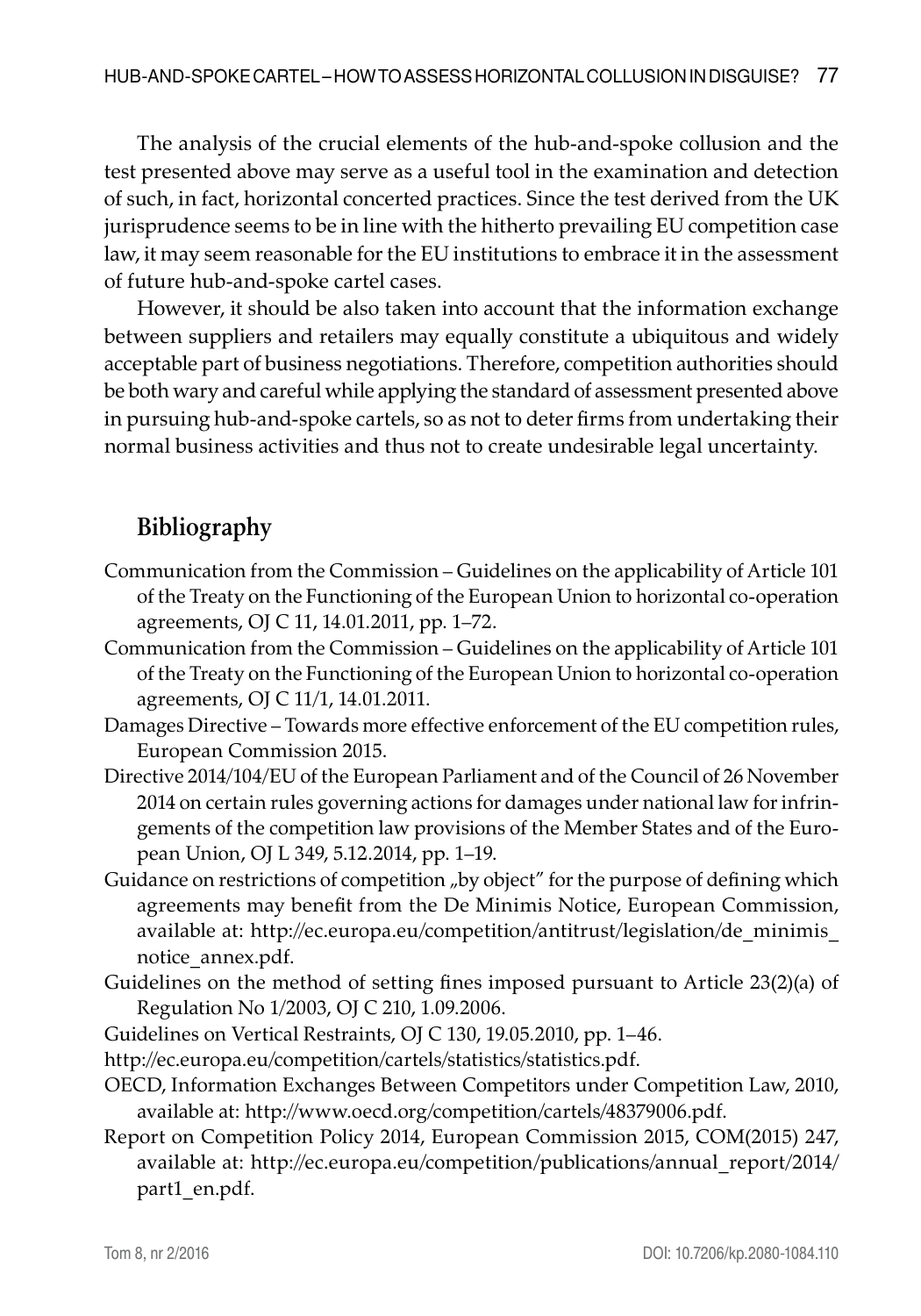The analysis of the crucial elements of the hub-and-spoke collusion and the test presented above may serve as a useful tool in the examination and detection of such, in fact, horizontal concerted practices. Since the test derived from the UK jurisprudence seems to be in line with the hitherto prevailing EU competition case law, it may seem reasonable for the EU institutions to embrace it in the assessment of future hub-and-spoke cartel cases.

However, it should be also taken into account that the information exchange between suppliers and retailers may equally constitute a ubiquitous and widely acceptable part of business negotiations. Therefore, competition authorities should be both wary and careful while applying the standard of assessment presented above in pursuing hub-and-spoke cartels, so as not to deter firms from undertaking their normal business activities and thus not to create undesirable legal uncertainty.

#### **Bibliography**

- Communication from the Commission Guidelines on the applicability of Article 101 of the Treaty on the Functioning of the European Union to horizontal co-operation agreements, OJ C 11, 14.01.2011, pp. 1–72.
- Communication from the Commission Guidelines on the applicability of Article 101 of the Treaty on the Functioning of the European Union to horizontal co-operation agreements, OJ C 11/1, 14.01.2011.
- Damages Directive Towards more effective enforcement of the EU competition rules, European Commission 2015.
- Directive 2014/104/EU of the European Parliament and of the Council of 26 November 2014 on certain rules governing actions for damages under national law for infringements of the competition law provisions of the Member States and of the European Union, OJ L 349, 5.12.2014, pp. 1–19.
- Guidance on restrictions of competition "by object" for the purpose of defining which agreements may benefit from the De Minimis Notice, European Commission, available at: http://ec.europa.eu/competition/antitrust/legislation/de\_minimis\_ notice\_annex.pdf.
- Guidelines on the method of setting fines imposed pursuant to Article 23(2)(a) of Regulation No 1/2003, OJ C 210, 1.09.2006.
- Guidelines on Vertical Restraints, OJ C 130, 19.05.2010, pp. 1–46.
- http://ec.europa.eu/competition/cartels/statistics/statistics.pdf.
- OECD, Information Exchanges Between Competitors under Competition Law, 2010, available at: http://www.oecd.org/competition/cartels/48379006.pdf.
- Report on Competition Policy 2014, European Commission 2015, COM(2015) 247, available at: http://ec.europa.eu/competition/publications/annual\_report/2014/ part1\_en.pdf.